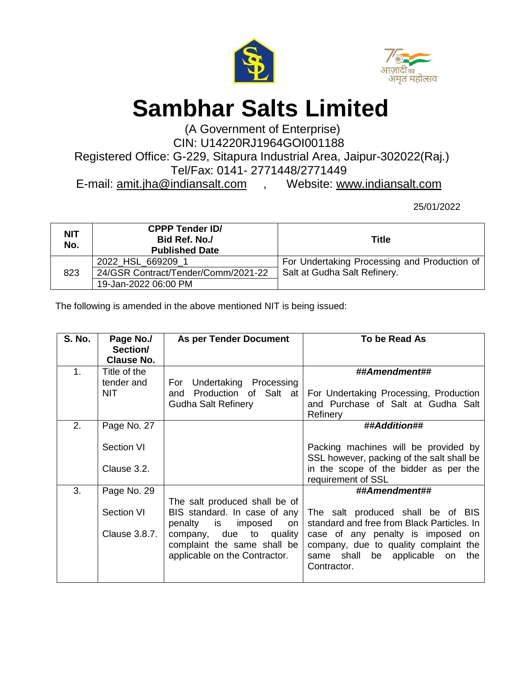



## **Sambhar Salts Limited**

(A Government of Enterprise) CIN: U14220RJ1964GOI001188

Registered Office: G-229, Sitapura Industrial Area, Jaipur-302022(Raj.) Tel/Fax: 0141- 2771448/2771449

E-mail: [amit.jha@indiansalt.com](mailto:amit.jha@indiansalt.com) , Website: [www.indiansalt.com](http://www.indiansalt.com/)

25/01/2022

| <b>NIT</b><br>No. | <b>CPPP Tender ID/</b><br>Bid Ref. No./<br><b>Published Date</b> | Title                                        |
|-------------------|------------------------------------------------------------------|----------------------------------------------|
| 823               | 2022 HSL 669209 1                                                | For Undertaking Processing and Production of |
|                   | 24/GSR Contract/Tender/Comm/2021-22                              | Salt at Gudha Salt Refinery.                 |
|                   | 19-Jan-2022 06:00 PM                                             |                                              |

The following is amended in the above mentioned NIT is being issued:

| <b>S. No.</b> | Page No./<br>Section/ | <b>As per Tender Document</b>                                                                | To be Read As                                                                                                                   |
|---------------|-----------------------|----------------------------------------------------------------------------------------------|---------------------------------------------------------------------------------------------------------------------------------|
|               | <b>Clause No.</b>     |                                                                                              |                                                                                                                                 |
| $\mathbf 1$ . | Title of the          |                                                                                              | ##Amendment##                                                                                                                   |
|               | tender and            | For Undertaking Processing                                                                   |                                                                                                                                 |
|               | NIT.                  | Production of Salt at<br>and<br><b>Gudha Salt Refinery</b>                                   | For Undertaking Processing, Production<br>and Purchase of Salt at Gudha Salt                                                    |
|               |                       |                                                                                              | Refinery                                                                                                                        |
| 2.            | Page No. 27           |                                                                                              | ##Addition##                                                                                                                    |
|               | <b>Section VI</b>     |                                                                                              | Packing machines will be provided by<br>SSL however, packing of the salt shall be                                               |
|               | Clause 3.2.           |                                                                                              | in the scope of the bidder as per the<br>requirement of SSL                                                                     |
| 3.            | Page No. 29           |                                                                                              | ##Amendment##                                                                                                                   |
|               | Section VI            | The salt produced shall be of<br>BIS standard. In case of any<br>penalty is<br>imposed<br>on | The salt produced shall be of BIS<br>standard and free from Black Particles. In                                                 |
|               | Clause 3.8.7.         | company, due to<br>quality<br>complaint the same shall be<br>applicable on the Contractor.   | case of any penalty is imposed on<br>company, due to quality complaint the<br>same shall be applicable on<br>the<br>Contractor. |